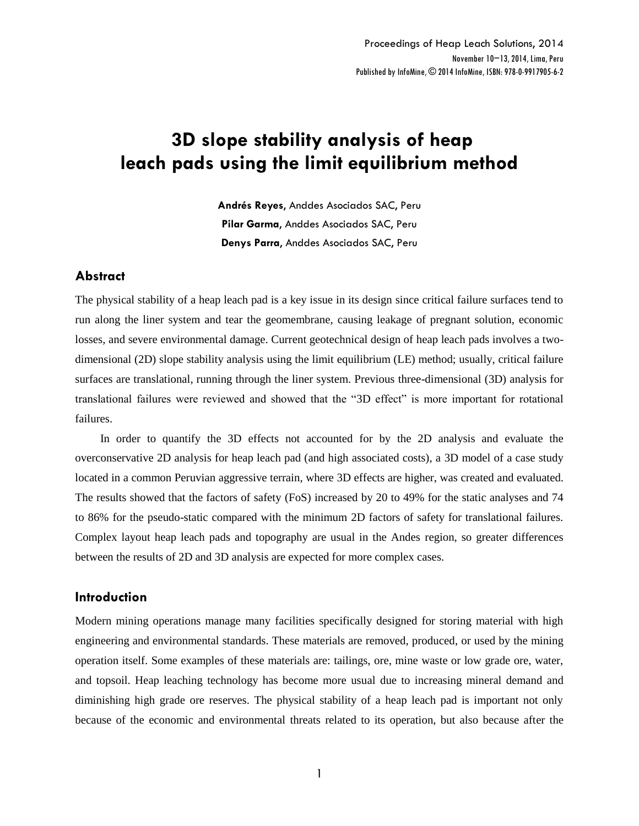# **3D slope stability analysis of heap leach pads using the limit equilibrium method**

**Andrés Reyes**, Anddes Asociados SAC, Peru **Pilar Garma**, Anddes Asociados SAC, Peru **Denys Parra**, Anddes Asociados SAC, Peru

# **Abstract**

The physical stability of a heap leach pad is a key issue in its design since critical failure surfaces tend to run along the liner system and tear the geomembrane, causing leakage of pregnant solution, economic losses, and severe environmental damage. Current geotechnical design of heap leach pads involves a twodimensional (2D) slope stability analysis using the limit equilibrium (LE) method; usually, critical failure surfaces are translational, running through the liner system. Previous three-dimensional (3D) analysis for translational failures were reviewed and showed that the "3D effect" is more important for rotational failures.

In order to quantify the 3D effects not accounted for by the 2D analysis and evaluate the overconservative 2D analysis for heap leach pad (and high associated costs), a 3D model of a case study located in a common Peruvian aggressive terrain, where 3D effects are higher, was created and evaluated. The results showed that the factors of safety (FoS) increased by 20 to 49% for the static analyses and 74 to 86% for the pseudo-static compared with the minimum 2D factors of safety for translational failures. Complex layout heap leach pads and topography are usual in the Andes region, so greater differences between the results of 2D and 3D analysis are expected for more complex cases.

## **Introduction**

Modern mining operations manage many facilities specifically designed for storing material with high engineering and environmental standards. These materials are removed, produced, or used by the mining operation itself. Some examples of these materials are: tailings, ore, mine waste or low grade ore, water, and topsoil. Heap leaching technology has become more usual due to increasing mineral demand and diminishing high grade ore reserves. The physical stability of a heap leach pad is important not only because of the economic and environmental threats related to its operation, but also because after the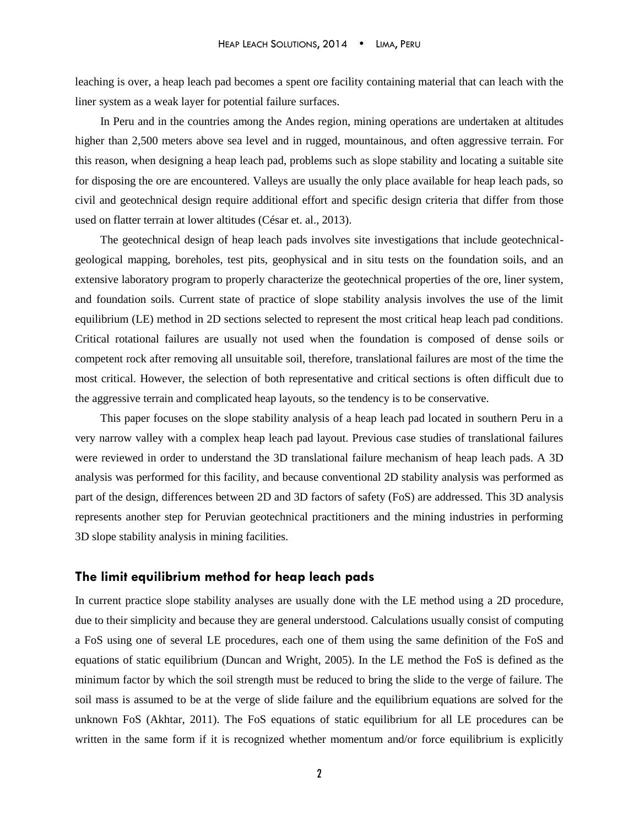leaching is over, a heap leach pad becomes a spent ore facility containing material that can leach with the liner system as a weak layer for potential failure surfaces.

In Peru and in the countries among the Andes region, mining operations are undertaken at altitudes higher than 2,500 meters above sea level and in rugged, mountainous, and often aggressive terrain. For this reason, when designing a heap leach pad, problems such as slope stability and locating a suitable site for disposing the ore are encountered. Valleys are usually the only place available for heap leach pads, so civil and geotechnical design require additional effort and specific design criteria that differ from those used on flatter terrain at lower altitudes (César et. al., 2013).

The geotechnical design of heap leach pads involves site investigations that include geotechnicalgeological mapping, boreholes, test pits, geophysical and in situ tests on the foundation soils, and an extensive laboratory program to properly characterize the geotechnical properties of the ore, liner system, and foundation soils. Current state of practice of slope stability analysis involves the use of the limit equilibrium (LE) method in 2D sections selected to represent the most critical heap leach pad conditions. Critical rotational failures are usually not used when the foundation is composed of dense soils or competent rock after removing all unsuitable soil, therefore, translational failures are most of the time the most critical. However, the selection of both representative and critical sections is often difficult due to the aggressive terrain and complicated heap layouts, so the tendency is to be conservative.

This paper focuses on the slope stability analysis of a heap leach pad located in southern Peru in a very narrow valley with a complex heap leach pad layout. Previous case studies of translational failures were reviewed in order to understand the 3D translational failure mechanism of heap leach pads. A 3D analysis was performed for this facility, and because conventional 2D stability analysis was performed as part of the design, differences between 2D and 3D factors of safety (FoS) are addressed. This 3D analysis represents another step for Peruvian geotechnical practitioners and the mining industries in performing 3D slope stability analysis in mining facilities.

## **The limit equilibrium method for heap leach pads**

In current practice slope stability analyses are usually done with the LE method using a 2D procedure, due to their simplicity and because they are general understood. Calculations usually consist of computing a FoS using one of several LE procedures, each one of them using the same definition of the FoS and equations of static equilibrium (Duncan and Wright, 2005). In the LE method the FoS is defined as the minimum factor by which the soil strength must be reduced to bring the slide to the verge of failure. The soil mass is assumed to be at the verge of slide failure and the equilibrium equations are solved for the unknown FoS (Akhtar, 2011). The FoS equations of static equilibrium for all LE procedures can be written in the same form if it is recognized whether momentum and/or force equilibrium is explicitly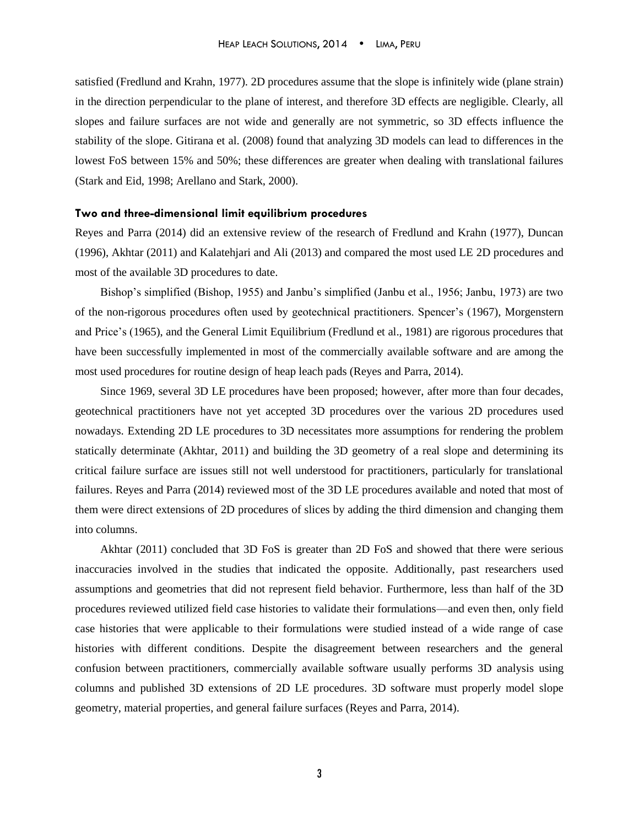satisfied (Fredlund and Krahn, 1977). 2D procedures assume that the slope is infinitely wide (plane strain) in the direction perpendicular to the plane of interest, and therefore 3D effects are negligible. Clearly, all slopes and failure surfaces are not wide and generally are not symmetric, so 3D effects influence the stability of the slope. Gitirana et al. (2008) found that analyzing 3D models can lead to differences in the lowest FoS between 15% and 50%; these differences are greater when dealing with translational failures (Stark and Eid, 1998; Arellano and Stark, 2000).

#### **Two and three-dimensional limit equilibrium procedures**

Reyes and Parra (2014) did an extensive review of the research of Fredlund and Krahn (1977), Duncan (1996), Akhtar (2011) and Kalatehjari and Ali (2013) and compared the most used LE 2D procedures and most of the available 3D procedures to date.

Bishop's simplified (Bishop, 1955) and Janbu's simplified (Janbu et al., 1956; Janbu, 1973) are two of the non-rigorous procedures often used by geotechnical practitioners. Spencer's (1967), Morgenstern and Price's (1965), and the General Limit Equilibrium (Fredlund et al., 1981) are rigorous procedures that have been successfully implemented in most of the commercially available software and are among the most used procedures for routine design of heap leach pads (Reyes and Parra, 2014).

Since 1969, several 3D LE procedures have been proposed; however, after more than four decades, geotechnical practitioners have not yet accepted 3D procedures over the various 2D procedures used nowadays. Extending 2D LE procedures to 3D necessitates more assumptions for rendering the problem statically determinate (Akhtar, 2011) and building the 3D geometry of a real slope and determining its critical failure surface are issues still not well understood for practitioners, particularly for translational failures. Reyes and Parra (2014) reviewed most of the 3D LE procedures available and noted that most of them were direct extensions of 2D procedures of slices by adding the third dimension and changing them into columns.

Akhtar (2011) concluded that 3D FoS is greater than 2D FoS and showed that there were serious inaccuracies involved in the studies that indicated the opposite. Additionally, past researchers used assumptions and geometries that did not represent field behavior. Furthermore, less than half of the 3D procedures reviewed utilized field case histories to validate their formulations—and even then, only field case histories that were applicable to their formulations were studied instead of a wide range of case histories with different conditions. Despite the disagreement between researchers and the general confusion between practitioners, commercially available software usually performs 3D analysis using columns and published 3D extensions of 2D LE procedures. 3D software must properly model slope geometry, material properties, and general failure surfaces (Reyes and Parra, 2014).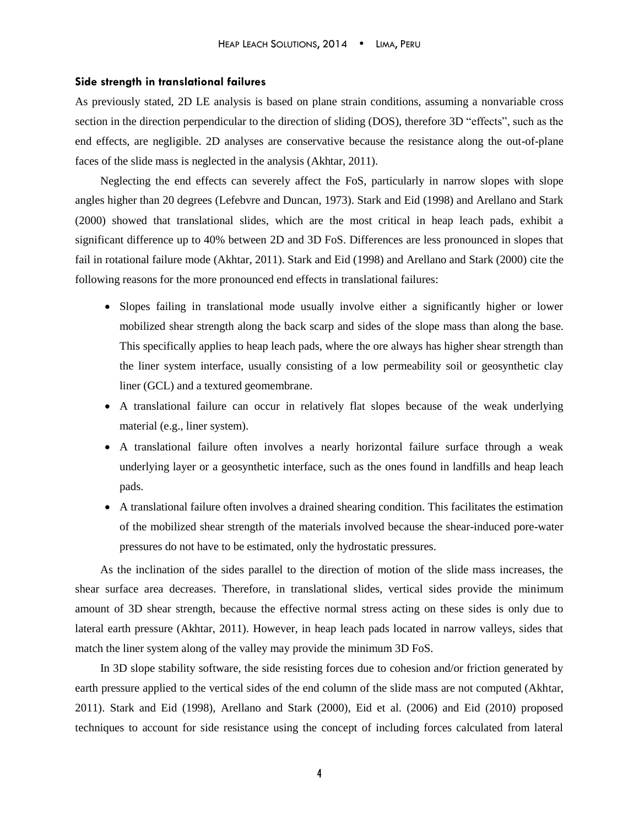#### **Side strength in translational failures**

As previously stated, 2D LE analysis is based on plane strain conditions, assuming a nonvariable cross section in the direction perpendicular to the direction of sliding (DOS), therefore 3D "effects", such as the end effects, are negligible. 2D analyses are conservative because the resistance along the out-of-plane faces of the slide mass is neglected in the analysis (Akhtar, 2011).

Neglecting the end effects can severely affect the FoS, particularly in narrow slopes with slope angles higher than 20 degrees (Lefebvre and Duncan, 1973). Stark and Eid (1998) and Arellano and Stark (2000) showed that translational slides, which are the most critical in heap leach pads, exhibit a significant difference up to 40% between 2D and 3D FoS. Differences are less pronounced in slopes that fail in rotational failure mode (Akhtar, 2011). Stark and Eid (1998) and Arellano and Stark (2000) cite the following reasons for the more pronounced end effects in translational failures:

- Slopes failing in translational mode usually involve either a significantly higher or lower mobilized shear strength along the back scarp and sides of the slope mass than along the base. This specifically applies to heap leach pads, where the ore always has higher shear strength than the liner system interface, usually consisting of a low permeability soil or geosynthetic clay liner (GCL) and a textured geomembrane.
- A translational failure can occur in relatively flat slopes because of the weak underlying material (e.g., liner system).
- A translational failure often involves a nearly horizontal failure surface through a weak underlying layer or a geosynthetic interface, such as the ones found in landfills and heap leach pads.
- A translational failure often involves a drained shearing condition. This facilitates the estimation of the mobilized shear strength of the materials involved because the shear-induced pore-water pressures do not have to be estimated, only the hydrostatic pressures.

As the inclination of the sides parallel to the direction of motion of the slide mass increases, the shear surface area decreases. Therefore, in translational slides, vertical sides provide the minimum amount of 3D shear strength, because the effective normal stress acting on these sides is only due to lateral earth pressure (Akhtar, 2011). However, in heap leach pads located in narrow valleys, sides that match the liner system along of the valley may provide the minimum 3D FoS.

In 3D slope stability software, the side resisting forces due to cohesion and/or friction generated by earth pressure applied to the vertical sides of the end column of the slide mass are not computed (Akhtar, 2011). Stark and Eid (1998), Arellano and Stark (2000), Eid et al. (2006) and Eid (2010) proposed techniques to account for side resistance using the concept of including forces calculated from lateral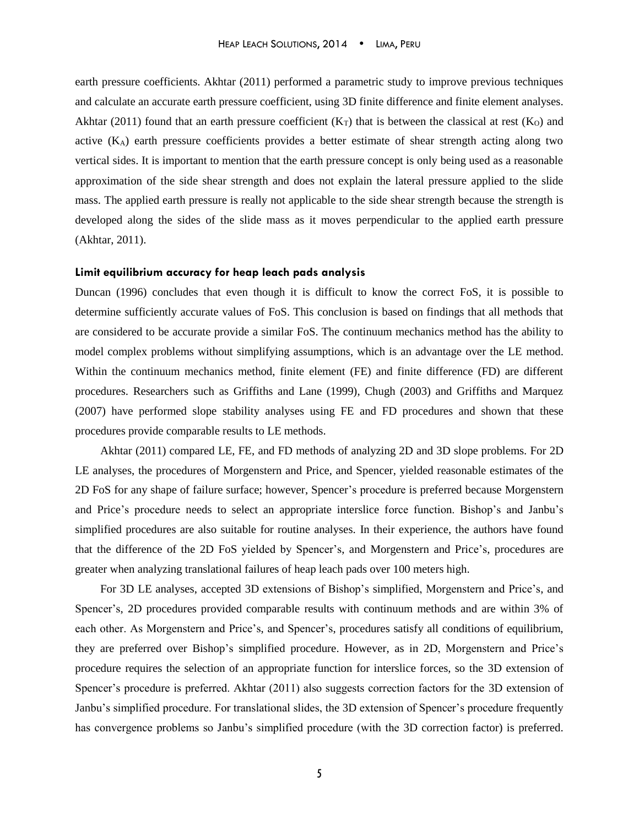earth pressure coefficients. Akhtar (2011) performed a parametric study to improve previous techniques and calculate an accurate earth pressure coefficient, using 3D finite difference and finite element analyses. Akhtar (2011) found that an earth pressure coefficient  $(K_T)$  that is between the classical at rest  $(K_O)$  and active (KA) earth pressure coefficients provides a better estimate of shear strength acting along two vertical sides. It is important to mention that the earth pressure concept is only being used as a reasonable approximation of the side shear strength and does not explain the lateral pressure applied to the slide mass. The applied earth pressure is really not applicable to the side shear strength because the strength is developed along the sides of the slide mass as it moves perpendicular to the applied earth pressure (Akhtar, 2011).

#### **Limit equilibrium accuracy for heap leach pads analysis**

Duncan (1996) concludes that even though it is difficult to know the correct FoS, it is possible to determine sufficiently accurate values of FoS. This conclusion is based on findings that all methods that are considered to be accurate provide a similar FoS. The continuum mechanics method has the ability to model complex problems without simplifying assumptions, which is an advantage over the LE method. Within the continuum mechanics method, finite element (FE) and finite difference (FD) are different procedures. Researchers such as Griffiths and Lane (1999), Chugh (2003) and Griffiths and Marquez (2007) have performed slope stability analyses using FE and FD procedures and shown that these procedures provide comparable results to LE methods.

Akhtar (2011) compared LE, FE, and FD methods of analyzing 2D and 3D slope problems. For 2D LE analyses, the procedures of Morgenstern and Price, and Spencer, yielded reasonable estimates of the 2D FoS for any shape of failure surface; however, Spencer's procedure is preferred because Morgenstern and Price's procedure needs to select an appropriate interslice force function. Bishop's and Janbu's simplified procedures are also suitable for routine analyses. In their experience, the authors have found that the difference of the 2D FoS yielded by Spencer's, and Morgenstern and Price's, procedures are greater when analyzing translational failures of heap leach pads over 100 meters high.

For 3D LE analyses, accepted 3D extensions of Bishop's simplified, Morgenstern and Price's, and Spencer's, 2D procedures provided comparable results with continuum methods and are within 3% of each other. As Morgenstern and Price's, and Spencer's, procedures satisfy all conditions of equilibrium, they are preferred over Bishop's simplified procedure. However, as in 2D, Morgenstern and Price's procedure requires the selection of an appropriate function for interslice forces, so the 3D extension of Spencer's procedure is preferred. Akhtar (2011) also suggests correction factors for the 3D extension of Janbu's simplified procedure. For translational slides, the 3D extension of Spencer's procedure frequently has convergence problems so Janbu's simplified procedure (with the 3D correction factor) is preferred.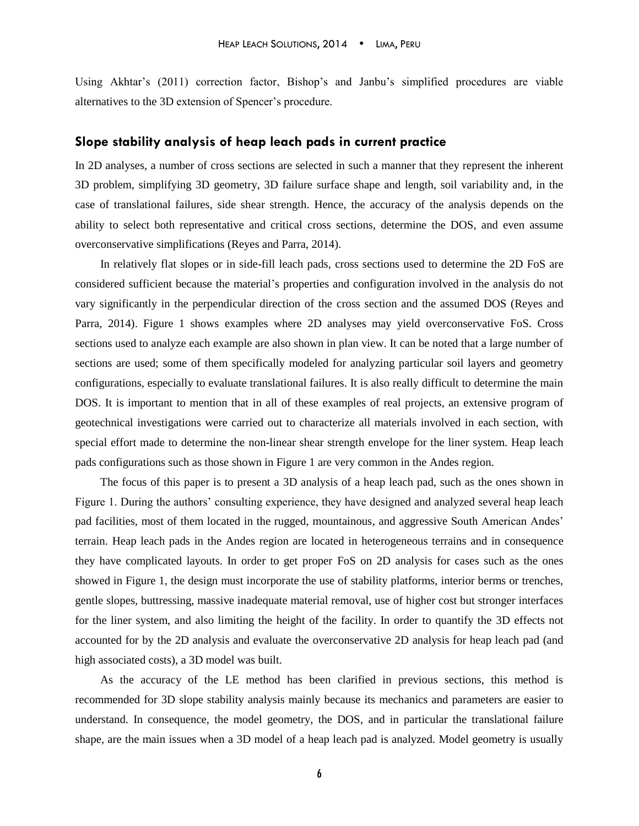Using Akhtar's (2011) correction factor, Bishop's and Janbu's simplified procedures are viable alternatives to the 3D extension of Spencer's procedure.

## **Slope stability analysis of heap leach pads in current practice**

In 2D analyses, a number of cross sections are selected in such a manner that they represent the inherent 3D problem, simplifying 3D geometry, 3D failure surface shape and length, soil variability and, in the case of translational failures, side shear strength. Hence, the accuracy of the analysis depends on the ability to select both representative and critical cross sections, determine the DOS, and even assume overconservative simplifications (Reyes and Parra, 2014).

In relatively flat slopes or in side-fill leach pads, cross sections used to determine the 2D FoS are considered sufficient because the material's properties and configuration involved in the analysis do not vary significantly in the perpendicular direction of the cross section and the assumed DOS (Reyes and Parra, 2014). Figure 1 shows examples where 2D analyses may yield overconservative FoS. Cross sections used to analyze each example are also shown in plan view. It can be noted that a large number of sections are used; some of them specifically modeled for analyzing particular soil layers and geometry configurations, especially to evaluate translational failures. It is also really difficult to determine the main DOS. It is important to mention that in all of these examples of real projects, an extensive program of geotechnical investigations were carried out to characterize all materials involved in each section, with special effort made to determine the non-linear shear strength envelope for the liner system. Heap leach pads configurations such as those shown in Figure 1 are very common in the Andes region.

The focus of this paper is to present a 3D analysis of a heap leach pad, such as the ones shown in Figure 1. During the authors' consulting experience, they have designed and analyzed several heap leach pad facilities, most of them located in the rugged, mountainous, and aggressive South American Andes' terrain. Heap leach pads in the Andes region are located in heterogeneous terrains and in consequence they have complicated layouts. In order to get proper FoS on 2D analysis for cases such as the ones showed in Figure 1, the design must incorporate the use of stability platforms, interior berms or trenches, gentle slopes, buttressing, massive inadequate material removal, use of higher cost but stronger interfaces for the liner system, and also limiting the height of the facility. In order to quantify the 3D effects not accounted for by the 2D analysis and evaluate the overconservative 2D analysis for heap leach pad (and high associated costs), a 3D model was built.

As the accuracy of the LE method has been clarified in previous sections, this method is recommended for 3D slope stability analysis mainly because its mechanics and parameters are easier to understand. In consequence, the model geometry, the DOS, and in particular the translational failure shape, are the main issues when a 3D model of a heap leach pad is analyzed. Model geometry is usually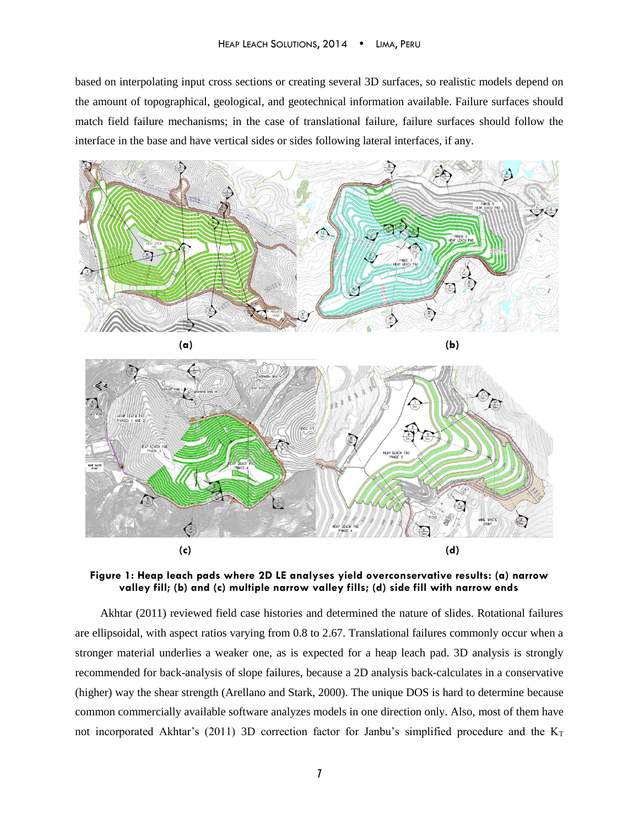based on interpolating input cross sections or creating several 3D surfaces, so realistic models depend on the amount of topographical, geological, and geotechnical information available. Failure surfaces should match field failure mechanisms; in the case of translational failure, failure surfaces should follow the interface in the base and have vertical sides or sides following lateral interfaces, if any.





**Figure 1: Heap leach pads where 2D LE analyses yield overconservative results: (a) narrow valley fill; (b) and (c) multiple narrow valley fills; (d) side fill with narrow ends**

Akhtar (2011) reviewed field case histories and determined the nature of slides. Rotational failures are ellipsoidal, with aspect ratios varying from 0.8 to 2.67. Translational failures commonly occur when a stronger material underlies a weaker one, as is expected for a heap leach pad. 3D analysis is strongly recommended for back-analysis of slope failures, because a 2D analysis back-calculates in a conservative (higher) way the shear strength (Arellano and Stark, 2000). The unique DOS is hard to determine because common commercially available software analyzes models in one direction only. Also, most of them have not incorporated Akhtar's (2011) 3D correction factor for Janbu's simplified procedure and the  $K<sub>T</sub>$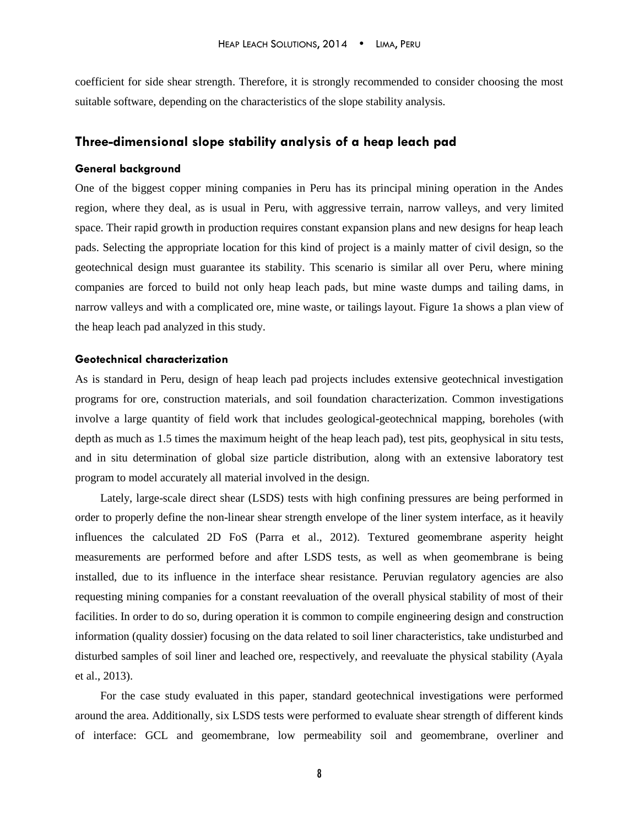coefficient for side shear strength. Therefore, it is strongly recommended to consider choosing the most suitable software, depending on the characteristics of the slope stability analysis.

## **Three-dimensional slope stability analysis of a heap leach pad**

## **General background**

One of the biggest copper mining companies in Peru has its principal mining operation in the Andes region, where they deal, as is usual in Peru, with aggressive terrain, narrow valleys, and very limited space. Their rapid growth in production requires constant expansion plans and new designs for heap leach pads. Selecting the appropriate location for this kind of project is a mainly matter of civil design, so the geotechnical design must guarantee its stability. This scenario is similar all over Peru, where mining companies are forced to build not only heap leach pads, but mine waste dumps and tailing dams, in narrow valleys and with a complicated ore, mine waste, or tailings layout. Figure 1a shows a plan view of the heap leach pad analyzed in this study.

#### **Geotechnical characterization**

As is standard in Peru, design of heap leach pad projects includes extensive geotechnical investigation programs for ore, construction materials, and soil foundation characterization. Common investigations involve a large quantity of field work that includes geological-geotechnical mapping, boreholes (with depth as much as 1.5 times the maximum height of the heap leach pad), test pits, geophysical in situ tests, and in situ determination of global size particle distribution, along with an extensive laboratory test program to model accurately all material involved in the design.

Lately, large-scale direct shear (LSDS) tests with high confining pressures are being performed in order to properly define the non-linear shear strength envelope of the liner system interface, as it heavily influences the calculated 2D FoS (Parra et al., 2012). Textured geomembrane asperity height measurements are performed before and after LSDS tests, as well as when geomembrane is being installed, due to its influence in the interface shear resistance. Peruvian regulatory agencies are also requesting mining companies for a constant reevaluation of the overall physical stability of most of their facilities. In order to do so, during operation it is common to compile engineering design and construction information (quality dossier) focusing on the data related to soil liner characteristics, take undisturbed and disturbed samples of soil liner and leached ore, respectively, and reevaluate the physical stability (Ayala et al., 2013).

For the case study evaluated in this paper, standard geotechnical investigations were performed around the area. Additionally, six LSDS tests were performed to evaluate shear strength of different kinds of interface: GCL and geomembrane, low permeability soil and geomembrane, overliner and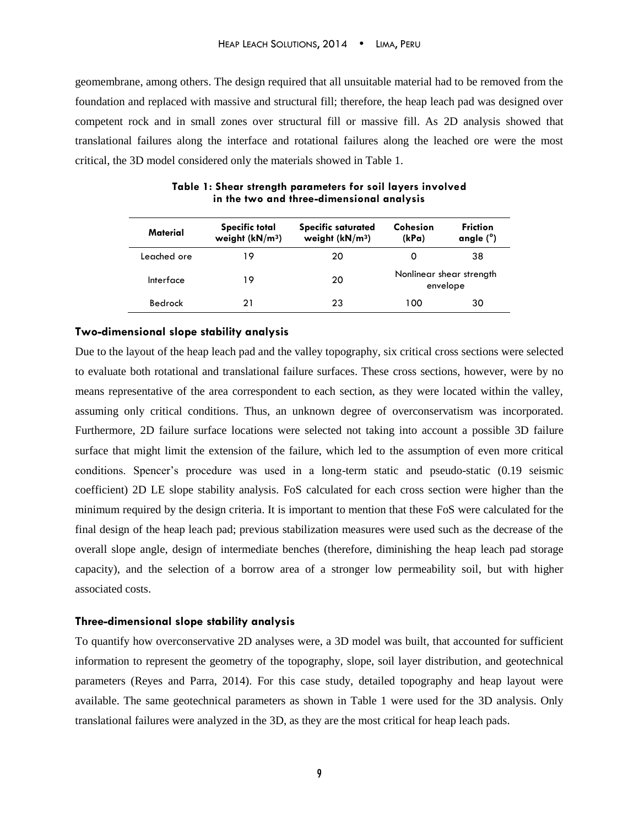geomembrane, among others. The design required that all unsuitable material had to be removed from the foundation and replaced with massive and structural fill; therefore, the heap leach pad was designed over competent rock and in small zones over structural fill or massive fill. As 2D analysis showed that translational failures along the interface and rotational failures along the leached ore were the most critical, the 3D model considered only the materials showed in Table 1.

|             | <b>Specific total</b> | <b>Specific saturated</b> | Cohesion                             | <b>Friction</b><br>angle $(°)$ |
|-------------|-----------------------|---------------------------|--------------------------------------|--------------------------------|
| Material    | weight $(kN/m3)$      | weight $(kN/m3)$          | (kPa)                                |                                |
| Leached ore | 19                    | 20                        | 0                                    | 38                             |
| Interface   | 19                    | 20                        | Nonlinear shear strength<br>envelope |                                |
| Bedrock     | 21                    | 23                        | 100                                  | 30                             |

**Table 1: Shear strength parameters for soil layers involved in the two and three-dimensional analysis** 

#### **Two-dimensional slope stability analysis**

Due to the layout of the heap leach pad and the valley topography, six critical cross sections were selected to evaluate both rotational and translational failure surfaces. These cross sections, however, were by no means representative of the area correspondent to each section, as they were located within the valley, assuming only critical conditions. Thus, an unknown degree of overconservatism was incorporated. Furthermore, 2D failure surface locations were selected not taking into account a possible 3D failure surface that might limit the extension of the failure, which led to the assumption of even more critical conditions. Spencer's procedure was used in a long-term static and pseudo-static (0.19 seismic coefficient) 2D LE slope stability analysis. FoS calculated for each cross section were higher than the minimum required by the design criteria. It is important to mention that these FoS were calculated for the final design of the heap leach pad; previous stabilization measures were used such as the decrease of the overall slope angle, design of intermediate benches (therefore, diminishing the heap leach pad storage capacity), and the selection of a borrow area of a stronger low permeability soil, but with higher associated costs.

#### **Three-dimensional slope stability analysis**

To quantify how overconservative 2D analyses were, a 3D model was built, that accounted for sufficient information to represent the geometry of the topography, slope, soil layer distribution, and geotechnical parameters (Reyes and Parra, 2014). For this case study, detailed topography and heap layout were available. The same geotechnical parameters as shown in Table 1 were used for the 3D analysis. Only translational failures were analyzed in the 3D, as they are the most critical for heap leach pads.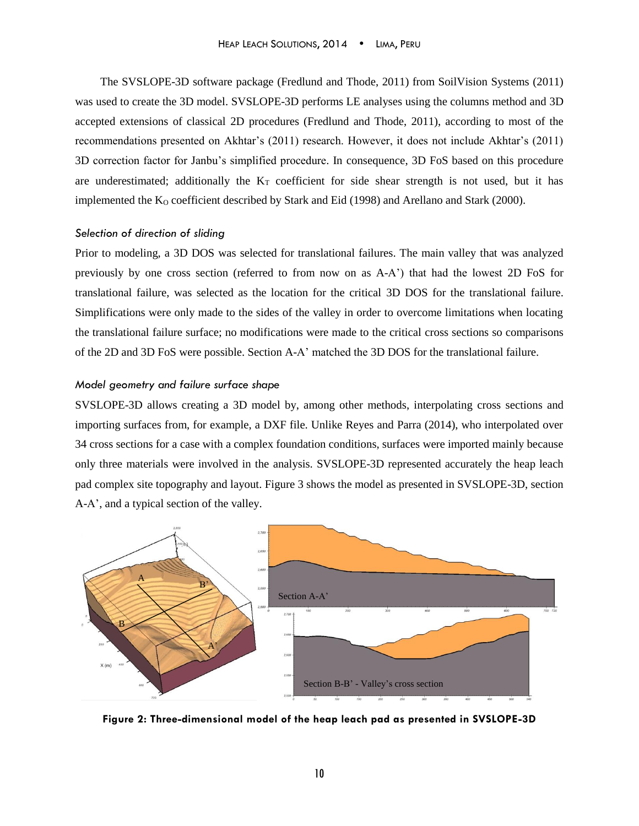The SVSLOPE-3D software package (Fredlund and Thode, 2011) from SoilVision Systems (2011) was used to create the 3D model. SVSLOPE-3D performs LE analyses using the columns method and 3D accepted extensions of classical 2D procedures (Fredlund and Thode, 2011), according to most of the recommendations presented on Akhtar's (2011) research. However, it does not include Akhtar's (2011) 3D correction factor for Janbu's simplified procedure. In consequence, 3D FoS based on this procedure are underestimated; additionally the  $K<sub>T</sub>$  coefficient for side shear strength is not used, but it has implemented the  $K_0$  coefficient described by Stark and Eid (1998) and Arellano and Stark (2000).

#### *Selection of direction of sliding*

Prior to modeling, a 3D DOS was selected for translational failures. The main valley that was analyzed previously by one cross section (referred to from now on as A-A') that had the lowest 2D FoS for translational failure, was selected as the location for the critical 3D DOS for the translational failure. Simplifications were only made to the sides of the valley in order to overcome limitations when locating the translational failure surface; no modifications were made to the critical cross sections so comparisons of the 2D and 3D FoS were possible. Section A-A' matched the 3D DOS for the translational failure.

## *Model geometry and failure surface shape*

SVSLOPE-3D allows creating a 3D model by, among other methods, interpolating cross sections and importing surfaces from, for example, a DXF file. Unlike Reyes and Parra (2014), who interpolated over 34 cross sections for a case with a complex foundation conditions, surfaces were imported mainly because only three materials were involved in the analysis. SVSLOPE-3D represented accurately the heap leach pad complex site topography and layout. Figure 3 shows the model as presented in SVSLOPE-3D, section A-A', and a typical section of the valley.



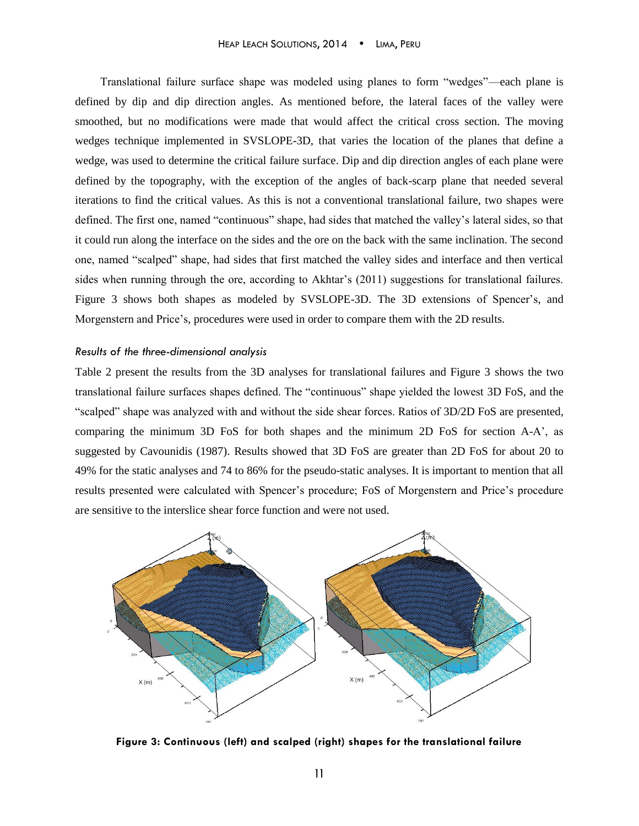Translational failure surface shape was modeled using planes to form "wedges"—each plane is defined by dip and dip direction angles. As mentioned before, the lateral faces of the valley were smoothed, but no modifications were made that would affect the critical cross section. The moving wedges technique implemented in SVSLOPE-3D, that varies the location of the planes that define a wedge, was used to determine the critical failure surface. Dip and dip direction angles of each plane were defined by the topography, with the exception of the angles of back-scarp plane that needed several iterations to find the critical values. As this is not a conventional translational failure, two shapes were defined. The first one, named "continuous" shape, had sides that matched the valley's lateral sides, so that it could run along the interface on the sides and the ore on the back with the same inclination. The second one, named "scalped" shape, had sides that first matched the valley sides and interface and then vertical sides when running through the ore, according to Akhtar's (2011) suggestions for translational failures. Figure 3 shows both shapes as modeled by SVSLOPE-3D. The 3D extensions of Spencer's, and Morgenstern and Price's, procedures were used in order to compare them with the 2D results.

#### *Results of the three-dimensional analysis*

Table 2 present the results from the 3D analyses for translational failures and Figure 3 shows the two translational failure surfaces shapes defined. The "continuous" shape yielded the lowest 3D FoS, and the "scalped" shape was analyzed with and without the side shear forces. Ratios of 3D/2D FoS are presented, comparing the minimum 3D FoS for both shapes and the minimum 2D FoS for section A-A', as suggested by Cavounidis (1987). Results showed that 3D FoS are greater than 2D FoS for about 20 to 49% for the static analyses and 74 to 86% for the pseudo-static analyses. It is important to mention that all results presented were calculated with Spencer's procedure; FoS of Morgenstern and Price's procedure are sensitive to the interslice shear force function and were not used.



**Figure 3: Continuous (left) and scalped (right) shapes for the translational failure**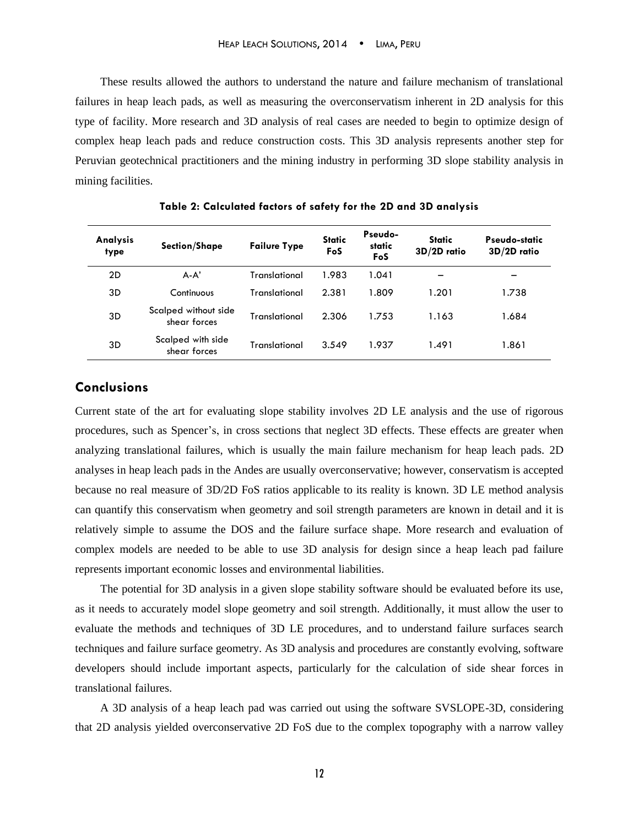These results allowed the authors to understand the nature and failure mechanism of translational failures in heap leach pads, as well as measuring the overconservatism inherent in 2D analysis for this type of facility. More research and 3D analysis of real cases are needed to begin to optimize design of complex heap leach pads and reduce construction costs. This 3D analysis represents another step for Peruvian geotechnical practitioners and the mining industry in performing 3D slope stability analysis in mining facilities.

| Analysis<br>type | <b>Section/Shape</b>                 | <b>Failure Type</b> | <b>Static</b><br>FoS | Pseudo-<br>static<br>FoS | <b>Static</b><br>3D/2D ratio | Pseudo-static<br>3D/2D ratio |
|------------------|--------------------------------------|---------------------|----------------------|--------------------------|------------------------------|------------------------------|
| 2D               | $A-A'$                               | Translational       | 1.983                | 1.041                    |                              |                              |
| 3D               | Continuous                           | Translational       | 2.381                | 1.809                    | 1.201                        | 1.738                        |
| 3D               | Scalped without side<br>shear forces | Translational       | 2.306                | 1.753                    | 1.163                        | 1.684                        |
| 3D               | Scalped with side<br>shear forces    | Translational       | 3.549                | 1.937                    | 1.491                        | 1.861                        |

**Table 2: Calculated factors of safety for the 2D and 3D analysis**

# **Conclusions**

Current state of the art for evaluating slope stability involves 2D LE analysis and the use of rigorous procedures, such as Spencer's, in cross sections that neglect 3D effects. These effects are greater when analyzing translational failures, which is usually the main failure mechanism for heap leach pads. 2D analyses in heap leach pads in the Andes are usually overconservative; however, conservatism is accepted because no real measure of 3D/2D FoS ratios applicable to its reality is known. 3D LE method analysis can quantify this conservatism when geometry and soil strength parameters are known in detail and it is relatively simple to assume the DOS and the failure surface shape. More research and evaluation of complex models are needed to be able to use 3D analysis for design since a heap leach pad failure represents important economic losses and environmental liabilities.

The potential for 3D analysis in a given slope stability software should be evaluated before its use, as it needs to accurately model slope geometry and soil strength. Additionally, it must allow the user to evaluate the methods and techniques of 3D LE procedures, and to understand failure surfaces search techniques and failure surface geometry. As 3D analysis and procedures are constantly evolving, software developers should include important aspects, particularly for the calculation of side shear forces in translational failures.

A 3D analysis of a heap leach pad was carried out using the software SVSLOPE-3D, considering that 2D analysis yielded overconservative 2D FoS due to the complex topography with a narrow valley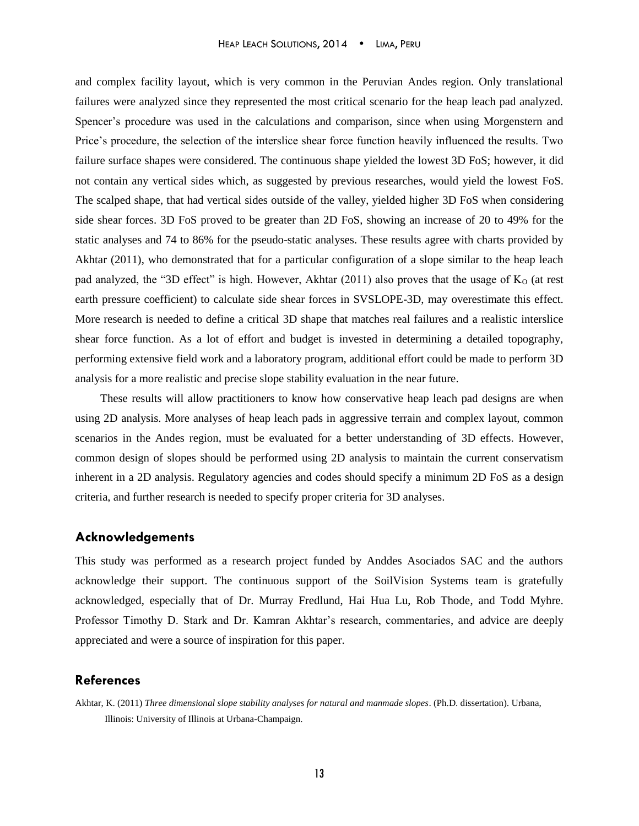and complex facility layout, which is very common in the Peruvian Andes region. Only translational failures were analyzed since they represented the most critical scenario for the heap leach pad analyzed. Spencer's procedure was used in the calculations and comparison, since when using Morgenstern and Price's procedure, the selection of the interslice shear force function heavily influenced the results. Two failure surface shapes were considered. The continuous shape yielded the lowest 3D FoS; however, it did not contain any vertical sides which, as suggested by previous researches, would yield the lowest FoS. The scalped shape, that had vertical sides outside of the valley, yielded higher 3D FoS when considering side shear forces. 3D FoS proved to be greater than 2D FoS, showing an increase of 20 to 49% for the static analyses and 74 to 86% for the pseudo-static analyses. These results agree with charts provided by Akhtar (2011), who demonstrated that for a particular configuration of a slope similar to the heap leach pad analyzed, the "3D effect" is high. However, Akhtar  $(2011)$  also proves that the usage of  $K<sub>O</sub>$  (at rest earth pressure coefficient) to calculate side shear forces in SVSLOPE-3D, may overestimate this effect. More research is needed to define a critical 3D shape that matches real failures and a realistic interslice shear force function. As a lot of effort and budget is invested in determining a detailed topography, performing extensive field work and a laboratory program, additional effort could be made to perform 3D analysis for a more realistic and precise slope stability evaluation in the near future.

These results will allow practitioners to know how conservative heap leach pad designs are when using 2D analysis. More analyses of heap leach pads in aggressive terrain and complex layout, common scenarios in the Andes region, must be evaluated for a better understanding of 3D effects. However, common design of slopes should be performed using 2D analysis to maintain the current conservatism inherent in a 2D analysis. Regulatory agencies and codes should specify a minimum 2D FoS as a design criteria, and further research is needed to specify proper criteria for 3D analyses.

## **Acknowledgements**

This study was performed as a research project funded by Anddes Asociados SAC and the authors acknowledge their support. The continuous support of the SoilVision Systems team is gratefully acknowledged, especially that of Dr. Murray Fredlund, Hai Hua Lu, Rob Thode, and Todd Myhre. Professor Timothy D. Stark and Dr. Kamran Akhtar's research, commentaries, and advice are deeply appreciated and were a source of inspiration for this paper.

## **References**

Akhtar, K. (2011) *Three dimensional slope stability analyses for natural and manmade slopes*. (Ph.D. dissertation). Urbana, Illinois: University of Illinois at Urbana-Champaign.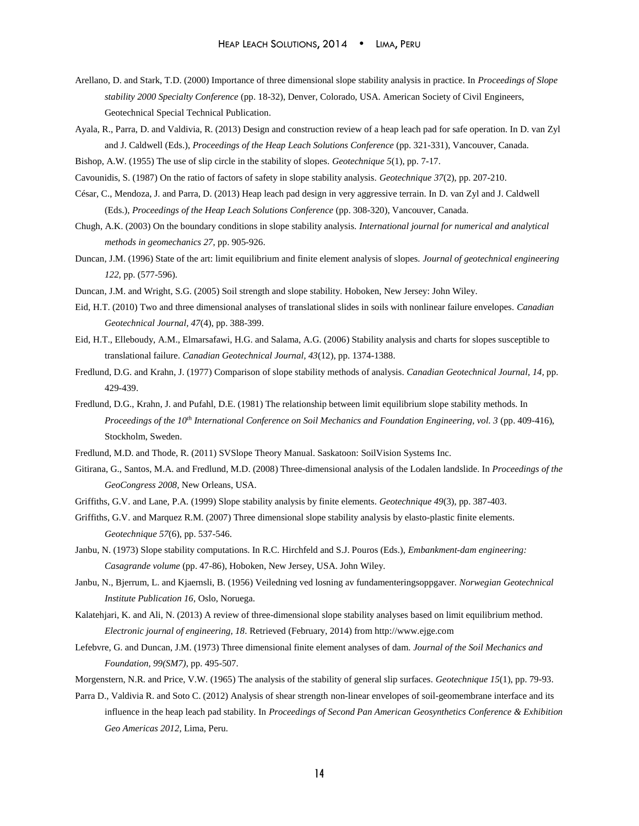- Arellano, D. and Stark, T.D. (2000) Importance of three dimensional slope stability analysis in practice. In *Proceedings of Slope stability 2000 Specialty Conference* (pp. 18-32), Denver, Colorado, USA. American Society of Civil Engineers, Geotechnical Special Technical Publication.
- Ayala, R., Parra, D. and Valdivia, R. (2013) Design and construction review of a heap leach pad for safe operation. In D. van Zyl and J. Caldwell (Eds.), *Proceedings of the Heap Leach Solutions Conference* (pp. 321-331), Vancouver, Canada.
- Bishop, A.W. (1955) The use of slip circle in the stability of slopes. *Geotechnique 5*(1), pp. 7-17.
- Cavounidis, S. (1987) On the ratio of factors of safety in slope stability analysis. *Geotechnique 37*(2), pp. 207-210.
- César, C., Mendoza, J. and Parra, D. (2013) Heap leach pad design in very aggressive terrain. In D. van Zyl and J. Caldwell (Eds.), *Proceedings of the Heap Leach Solutions Conference* (pp. 308-320), Vancouver, Canada.
- Chugh, A.K. (2003) On the boundary conditions in slope stability analysis. *International journal for numerical and analytical methods in geomechanics 27*, pp. 905-926.
- Duncan, J.M. (1996) State of the art: limit equilibrium and finite element analysis of slopes. *Journal of geotechnical engineering 122,* pp. (577-596).
- Duncan, J.M. and Wright, S.G. (2005) Soil strength and slope stability. Hoboken, New Jersey: John Wiley.
- Eid, H.T. (2010) Two and three dimensional analyses of translational slides in soils with nonlinear failure envelopes. *Canadian Geotechnical Journal, 47*(4), pp. 388-399.
- Eid, H.T., Elleboudy, A.M., Elmarsafawi, H.G. and Salama, A.G. (2006) Stability analysis and charts for slopes susceptible to translational failure. *Canadian Geotechnical Journal, 43*(12), pp. 1374-1388.
- Fredlund, D.G. and Krahn, J. (1977) Comparison of slope stability methods of analysis. *Canadian Geotechnical Journal, 14,* pp. 429-439.
- Fredlund, D.G., Krahn, J. and Pufahl, D.E. (1981) The relationship between limit equilibrium slope stability methods. In *Proceedings of the 10th International Conference on Soil Mechanics and Foundation Engineering, vol. 3* (pp. 409-416), Stockholm, Sweden.
- Fredlund, M.D. and Thode, R. (2011) SVSlope Theory Manual. Saskatoon: SoilVision Systems Inc.
- Gitirana, G., Santos, M.A. and Fredlund, M.D. (2008) Three-dimensional analysis of the Lodalen landslide. In *Proceedings of the GeoCongress 2008*, New Orleans, USA.
- Griffiths, G.V. and Lane, P.A. (1999) Slope stability analysis by finite elements. *Geotechnique 49*(3), pp. 387-403.
- Griffiths, G.V. and Marquez R.M. (2007) Three dimensional slope stability analysis by elasto-plastic finite elements. *Geotechnique 57*(6), pp. 537-546.
- Janbu, N. (1973) Slope stability computations. In R.C. Hirchfeld and S.J. Pouros (Eds.), *Embankment-dam engineering: Casagrande volume* (pp. 47-86), Hoboken, New Jersey, USA. John Wiley.
- Janbu, N., Bjerrum, L. and Kjaernsli, B. (1956) Veiledning ved losning av fundamenteringsoppgaver. *Norwegian Geotechnical Institute Publication 16,* Oslo, Noruega.
- Kalatehjari, K. and Ali, N. (2013) A review of three-dimensional slope stability analyses based on limit equilibrium method. *Electronic journal of engineering, 18*. Retrieved (February, 2014) from http://www.ejge.com
- Lefebvre, G. and Duncan, J.M. (1973) Three dimensional finite element analyses of dam. *Journal of the Soil Mechanics and Foundation, 99(SM7)*, pp. 495-507.
- Morgenstern, N.R. and Price, V.W. (1965) The analysis of the stability of general slip surfaces. *Geotechnique 15*(1), pp. 79-93.
- Parra D., Valdivia R. and Soto C. (2012) Analysis of shear strength non-linear envelopes of soil-geomembrane interface and its influence in the heap leach pad stability. In *Proceedings of Second Pan American Geosynthetics Conference & Exhibition Geo Americas 2012*, Lima, Peru.